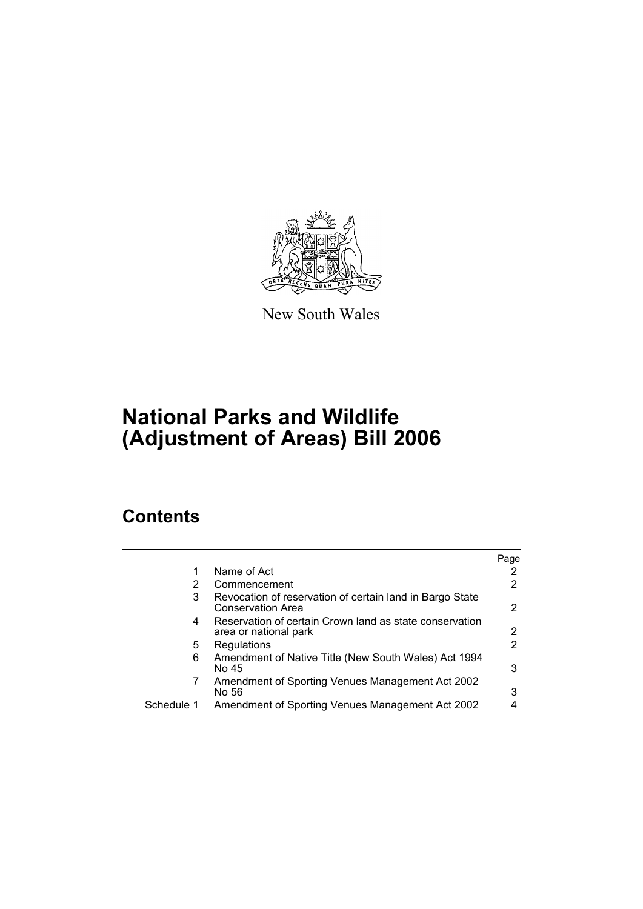

New South Wales

# **National Parks and Wildlife (Adjustment of Areas) Bill 2006**

# **Contents**

|            |                                                                                  | Page |
|------------|----------------------------------------------------------------------------------|------|
|            | Name of Act                                                                      | 2    |
| 2          | Commencement                                                                     | 2    |
| 3          | Revocation of reservation of certain land in Bargo State<br>Conservation Area    | 2    |
| 4          | Reservation of certain Crown land as state conservation<br>area or national park | 2    |
| 5          | Regulations                                                                      | 2    |
| 6          | Amendment of Native Title (New South Wales) Act 1994<br>No 45                    | 3    |
| 7          | Amendment of Sporting Venues Management Act 2002<br>No 56                        | 3    |
| Schedule 1 | Amendment of Sporting Venues Management Act 2002                                 |      |
|            |                                                                                  |      |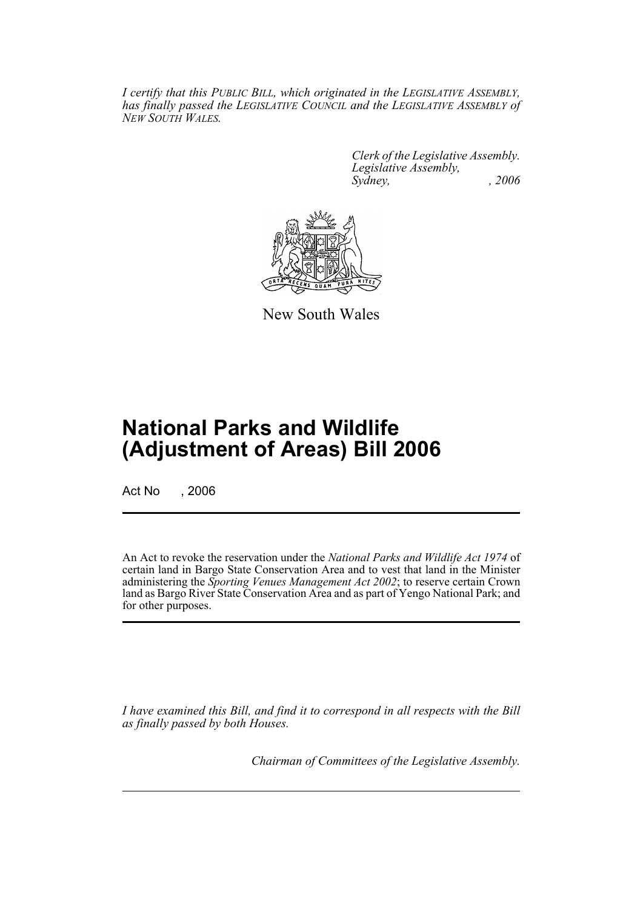*I certify that this PUBLIC BILL, which originated in the LEGISLATIVE ASSEMBLY, has finally passed the LEGISLATIVE COUNCIL and the LEGISLATIVE ASSEMBLY of NEW SOUTH WALES.*

> *Clerk of the Legislative Assembly. Legislative Assembly, Sydney, , 2006*



New South Wales

# **National Parks and Wildlife (Adjustment of Areas) Bill 2006**

Act No . 2006

An Act to revoke the reservation under the *National Parks and Wildlife Act 1974* of certain land in Bargo State Conservation Area and to vest that land in the Minister administering the *Sporting Venues Management Act 2002*; to reserve certain Crown land as Bargo River State Conservation Area and as part of Yengo National Park; and for other purposes.

*I have examined this Bill, and find it to correspond in all respects with the Bill as finally passed by both Houses.*

*Chairman of Committees of the Legislative Assembly.*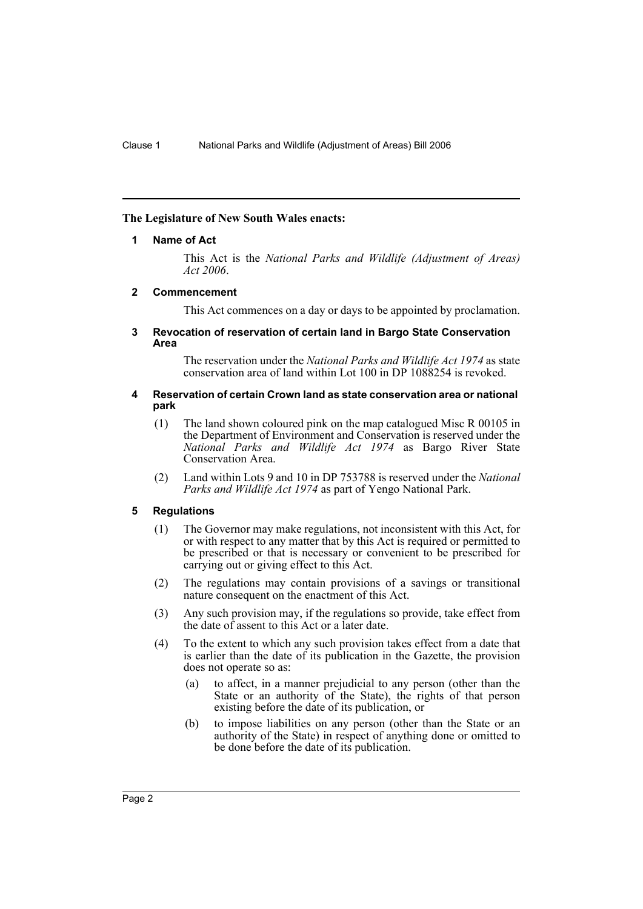## **The Legislature of New South Wales enacts:**

### **1 Name of Act**

This Act is the *National Parks and Wildlife (Adjustment of Areas) Act 2006*.

### **2 Commencement**

This Act commences on a day or days to be appointed by proclamation.

#### **3 Revocation of reservation of certain land in Bargo State Conservation Area**

The reservation under the *National Parks and Wildlife Act 1974* as state conservation area of land within Lot 100 in DP 1088254 is revoked.

### **4 Reservation of certain Crown land as state conservation area or national park**

- (1) The land shown coloured pink on the map catalogued Misc R 00105 in the Department of Environment and Conservation is reserved under the *National Parks and Wildlife Act 1974* as Bargo River State Conservation Area.
- (2) Land within Lots 9 and 10 in DP 753788 is reserved under the *National Parks and Wildlife Act 1974* as part of Yengo National Park.

# **5 Regulations**

- (1) The Governor may make regulations, not inconsistent with this Act, for or with respect to any matter that by this Act is required or permitted to be prescribed or that is necessary or convenient to be prescribed for carrying out or giving effect to this Act.
- (2) The regulations may contain provisions of a savings or transitional nature consequent on the enactment of this Act.
- (3) Any such provision may, if the regulations so provide, take effect from the date of assent to this Act or a later date.
- (4) To the extent to which any such provision takes effect from a date that is earlier than the date of its publication in the Gazette, the provision does not operate so as:
	- (a) to affect, in a manner prejudicial to any person (other than the State or an authority of the State), the rights of that person existing before the date of its publication, or
	- (b) to impose liabilities on any person (other than the State or an authority of the State) in respect of anything done or omitted to be done before the date of its publication.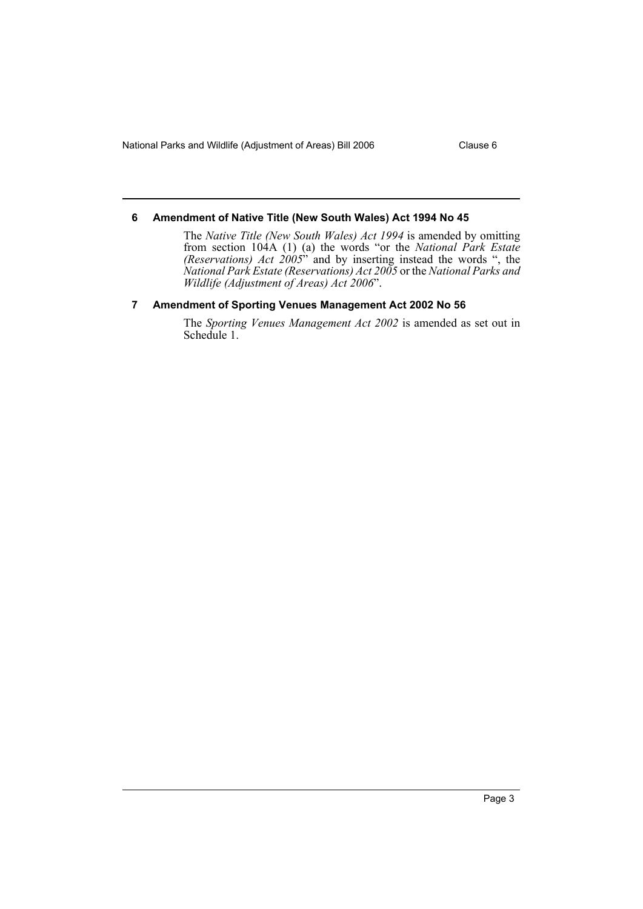National Parks and Wildlife (Adjustment of Areas) Bill 2006 Clause 6

## **6 Amendment of Native Title (New South Wales) Act 1994 No 45**

The *Native Title (New South Wales) Act 1994* is amended by omitting from section 104A (1) (a) the words "or the *National Park Estate (Reservations) Act 2005*" and by inserting instead the words ", the *National Park Estate (Reservations) Act 2005* or the *National Parks and Wildlife (Adjustment of Areas) Act 2006*".

# **7 Amendment of Sporting Venues Management Act 2002 No 56**

The *Sporting Venues Management Act 2002* is amended as set out in Schedule 1.